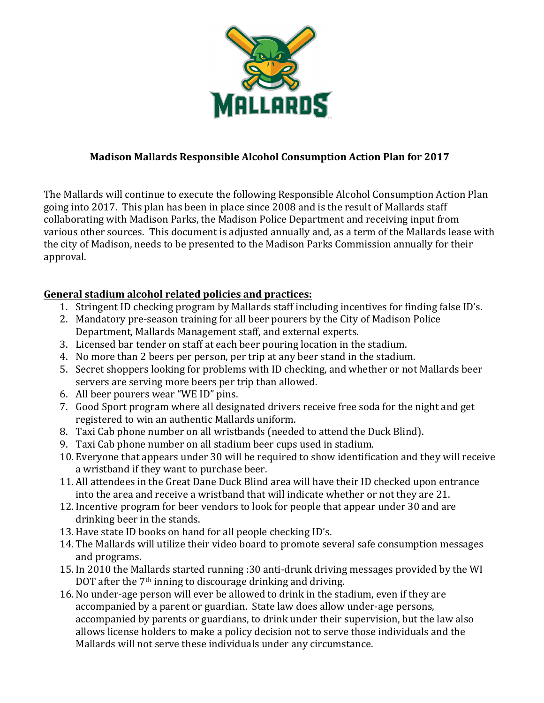

### **Madison Mallards Responsible Alcohol Consumption Action Plan for 2017**

The Mallards will continue to execute the following Responsible Alcohol Consumption Action Plan going into 2017. This plan has been in place since 2008 and is the result of Mallards staff collaborating with Madison Parks, the Madison Police Department and receiving input from various other sources. This document is adjusted annually and, as a term of the Mallards lease with the city of Madison, needs to be presented to the Madison Parks Commission annually for their approval.

# General stadium alcohol related policies and practices:

- 1. Stringent ID checking program by Mallards staff including incentives for finding false ID's.
- 2. Mandatory pre-season training for all beer pourers by the City of Madison Police Department, Mallards Management staff, and external experts.
- 3. Licensed bar tender on staff at each beer pouring location in the stadium.
- 4. No more than 2 beers per person, per trip at any beer stand in the stadium.
- 5. Secret shoppers looking for problems with ID checking, and whether or not Mallards beer servers are serving more beers per trip than allowed.
- 6. All beer pourers wear "WE ID" pins.
- 7. Good Sport program where all designated drivers receive free soda for the night and get registered to win an authentic Mallards uniform.
- 8. Taxi Cab phone number on all wristbands (needed to attend the Duck Blind).
- 9. Taxi Cab phone number on all stadium beer cups used in stadium.
- 10. Everyone that appears under 30 will be required to show identification and they will receive a wristband if they want to purchase beer.
- 11. All attendees in the Great Dane Duck Blind area will have their ID checked upon entrance into the area and receive a wristband that will indicate whether or not they are 21.
- 12. Incentive program for beer vendors to look for people that appear under 30 and are drinking beer in the stands.
- 13. Have state ID books on hand for all people checking ID's.
- 14. The Mallards will utilize their video board to promote several safe consumption messages and programs.
- 15. In 2010 the Mallards started running :30 anti-drunk driving messages provided by the WI DOT after the  $7<sup>th</sup>$  inning to discourage drinking and driving.
- 16. No under-age person will ever be allowed to drink in the stadium, even if they are accompanied by a parent or guardian. State law does allow under-age persons, accompanied by parents or guardians, to drink under their supervision, but the law also allows license holders to make a policy decision not to serve those individuals and the Mallards will not serve these individuals under any circumstance.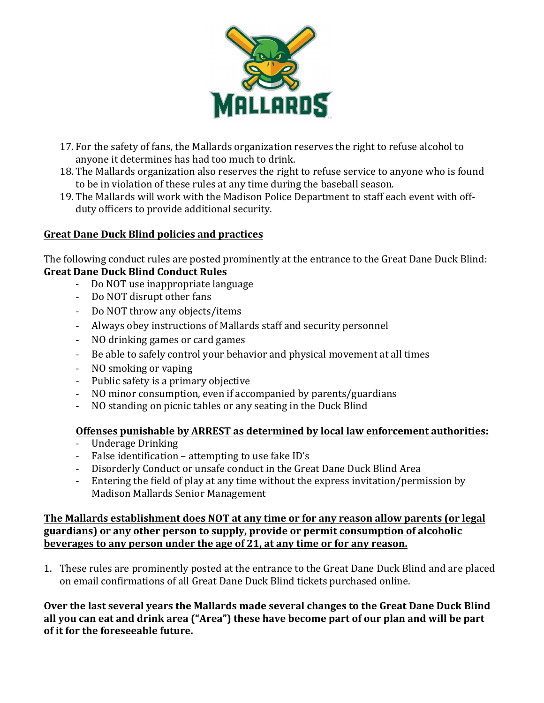

- 17. For the safety of fans, the Mallards organization reserves the right to refuse alcohol to anyone it determines has had too much to drink.
- 18. The Mallards organization also reserves the right to refuse service to anyone who is found to be in violation of these rules at any time during the baseball season.
- 19. The Mallards will work with the Madison Police Department to staff each event with offduty officers to provide additional security.

# **Great Dane Duck Blind policies and practices**

The following conduct rules are posted prominently at the entrance to the Great Dane Duck Blind: **Great Dane Duck Blind Conduct Rules** 

- Do NOT use inappropriate language
- Do NOT disrupt other fans
- Do NOT throw any objects/items
- Always obey instructions of Mallards staff and security personnel
- NO drinking games or card games
- Be able to safely control your behavior and physical movement at all times
- NO smoking or vaping
- Public safety is a primary objective
- NO minor consumption, even if accompanied by parents/guardians
- NO standing on picnic tables or any seating in the Duck Blind

#### **Offenses punishable by ARREST as determined by local law enforcement authorities:**

- Underage Drinking
- False identification  $-$  attempting to use fake ID's
- Disorderly Conduct or unsafe conduct in the Great Dane Duck Blind Area
- Entering the field of play at any time without the express invitation/permission by Madison Mallards Senior Management

#### The Mallards establishment does NOT at any time or for any reason allow parents (or legal guardians) or any other person to supply, provide or permit consumption of alcoholic **beverages to any person under the age of 21, at any time or for any reason.**

1. These rules are prominently posted at the entrance to the Great Dane Duck Blind and are placed on email confirmations of all Great Dane Duck Blind tickets purchased online.

**Over the last several vears the Mallards made several changes to the Great Dane Duck Blind** all you can eat and drink area ("Area") these have become part of our plan and will be part of it for the foreseeable future.